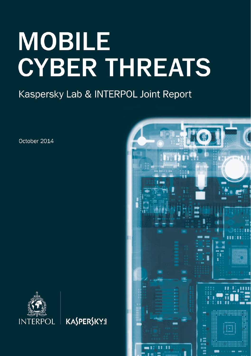# **MOBILE CYBER THREATS**

Kaspersky Lab & INTERPOL Joint Report

October 2014



**KASPERSKYS** 

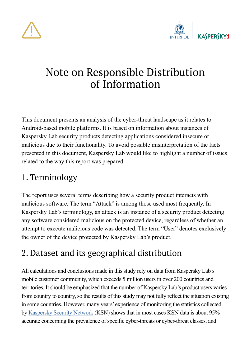



## Note on Responsible Distribution of Information

This document presents an analysis of the cyber-threat landscape as it relates to Android-based mobile platforms. It is based on information about instances of Kaspersky Lab security products detecting applications considered insecure or malicious due to their functionality. To avoid possible misinterpretation of the facts presented in this document, Kaspersky Lab would like to highlight a number of issues related to the way this report was prepared.

#### 1. Terminology

The report uses several terms describing how a security product interacts with malicious software. The term "Attack" is among those used most frequently. In Kaspersky Lab's terminology, an attack is an instance of a security product detecting any software considered malicious on the protected device, regardless of whether an attempt to execute malicious code was detected. The term "User" denotes exclusively the owner of the device protected by Kaspersky Lab's product.

#### 2. Dataset and its geographical distribution

All calculations and conclusions made in this study rely on data from Kaspersky Lab's mobile customer community, which exceeds 5 million users in over 200 countries and territories. It should be emphasized that the number of Kaspersky Lab's product users varies from country to country, so the results of this study may not fully reflect the situation existing in some countries. However, many years' experience of monitoring the statistics collected by Kaspersky Security Network (KSN) shows that in most cases KSN data is about 95% accurate concerning the prevalence of specific cyber-threats or cyber-threat classes, and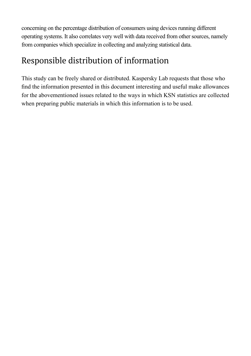concerning on the percentage distribution of consumers using devices running different operating systems. It also correlates very well with data received from other sources, namely from companies which specialize in collecting and analyzing statistical data.

#### Responsible distribution of information

This study can be freely shared or distributed. Kaspersky Lab requests that those who find the information presented in this document interesting and useful make allowances for the abovementioned issues related to the ways in which KSN statistics are collected when preparing public materials in which this information is to be used.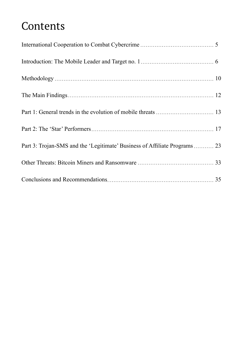# Contents

| Part 3: Trojan-SMS and the 'Legitimate' Business of Affiliate Programs 23 |  |
|---------------------------------------------------------------------------|--|
|                                                                           |  |
|                                                                           |  |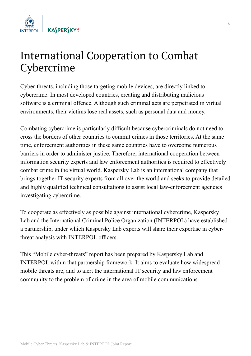

## International Cooperation to Combat Сybercrime

Cyber-threats, including those targeting mobile devices, are directly linked to cybercrime. In most developed countries, creating and distributing malicious software is a criminal offence. Although such criminal acts are perpetrated in virtual environments, their victims lose real assets, such as personal data and money.

Combating cybercrime is particularly difficult because cybercriminals do not need to cross the borders of other countries to commit crimes in those territories. At the same time, enforcement authorities in these same countries have to overcome numerous barriers in order to administer justice. Therefore, international cooperation between information security experts and law enforcement authorities is required to effectively combat crime in the virtual world. Kaspersky Lab is an international company that brings together IT security experts from all over the world and seeks to provide detailed and highly qualified technical consultations to assist local law-enforcement agencies investigating cybercrime.

To cooperate as effectively as possible against international cybercrime, Kaspersky Lab and the International Criminal Police Organization (INTERPOL) have established a partnership, under which Kaspersky Lab experts will share their expertise in cyberthreat analysis with INTERPOL officers.

This "Mobile cyber-threats" report has been prepared by Kaspersky Lab and INTERPOL within that partnership framework. It aims to evaluate how widespread mobile threats are, and to alert the international IT security and law enforcement community to the problem of crime in the area of mobile communications.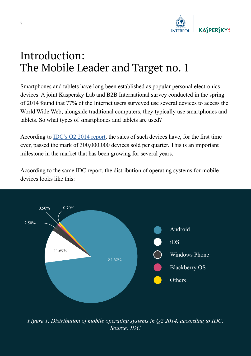

# Introduction: The Mobile Leader and Target no. 1

Smartphones and tablets have long been established as popular personal electronics devices. A joint Kaspersky Lab and B2B International survey conducted in the spring of 2014 found that 77% of the Internet users surveyed use several devices to access the World Wide Web; alongside traditional computers, they typically use smartphones and tablets. So what types of smartphones and tablets are used?

According to IDC's Q2 2014 report, the sales of such devices have, for the first time ever, passed the mark of 300,000,000 devices sold per quarter. This is an important milestone in the market that has been growing for several years.

According to the same IDC report, the distribution of operating systems for mobile devices looks like this:



*Figure 1. Distribution of mobile operating systems in Q2 2014, according to IDC. Source: IDC*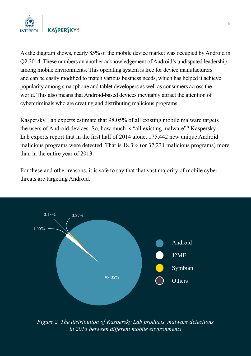

As the diagram shows, nearly 85% of the mobile device market was occupied by Android in Q2 2014. These numbers an another acknowledgement of Android's undisputed leadership among mobile environments. This operating system is free for device manufacturers and can be easily modified to match various business needs, which has helped it achieve popularity among smartphone and tablet developers as well as consumers across the world. This also means that Android-based devices inevitably attract the attention of cybercriminals who are creating and distributing malicious programs

Kaspersky Lab experts estimate that 98.05% of all existing mobile malware targets the users of Android devices. So, how much is "all existing malware"? Kaspersky Lab experts report that in the first half of 2014 alone, 175,442 new unique Android malicious programs were detected. That is 18.3% (or 32,231 malicious programs) more than in the entire year of 2013.

For these and other reasons, it is safe to say that that vast majority of mobile cyberthreats are targeting Android.



*Figure 2. The distribution of Kaspersky Lab products' malware detections in 2013 between different mobile environments*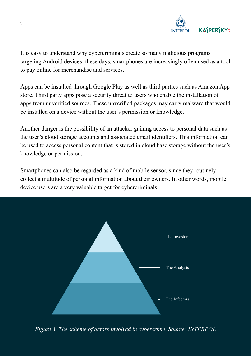

It is easy to understand why cybercriminals create so many malicious programs targeting Android devices: these days, smartphones are increasingly often used as a tool to pay online for merchandise and services.

Apps can be installed through Google Play as well as third parties such as Amazon App store. Third party apps pose a security threat to users who enable the installation of apps from unverified sources. These unverified packages may carry malware that would be installed on a device without the user's permission or knowledge.

Another danger is the possibility of an attacker gaining access to personal data such as the user's cloud storage accounts and associated email identifiers. This information can be used to access personal content that is stored in cloud base storage without the user's knowledge or permission.

Smartphones can also be regarded as a kind of mobile sensor, since they routinely collect a multitude of personal information about their owners. In other words, mobile device users are a very valuable target for cybercriminals.



*Figure 3. The scheme of actors involved in cybercrime. Source: INTERPOL*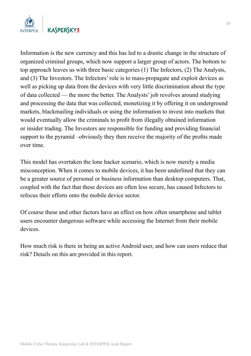

Information is the new currency and this has led to a drastic change in the structure of organized criminal groups, which now support a larger group of actors. The bottom to top approach leaves us with three basic categories (1) The Infectors, (2) The Analysts, and (3) The Investors. The Infectors' role is to mass-propagate and exploit devices as well as picking up data from the devices with very little discrimination about the type of data collected — the more the better. The Analysts' job revolves around studying and processing the data that was collected, monetizing it by offering it on underground markets, blackmailing individuals or using the information to invest into markets that would eventually allow the criminals to profit from illegally obtained information or insider trading. The Investors are responsible for funding and providing financial support to the pyramid –obviously they then receive the majority of the profits made over time.

This model has overtaken the lone hacker scenario, which is now merely a media misconception. When it comes to mobile devices, it has been underlined that they can be a greater source of personal or business information than desktop computers. That, coupled with the fact that these devices are often less secure, has caused Infectors to refocus their efforts onto the mobile device sector.

Of course these and other factors have an effect on how often smartphone and tablet users encounter dangerous software while accessing the Internet from their mobile devices.

How much risk is there in being an active Android user, and how can users reduce that risk? Details on this are provided in this report.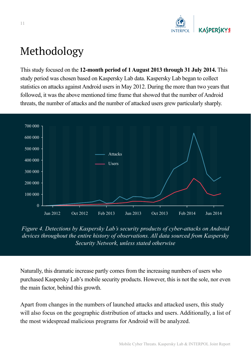

# Methodology

This study focused on the **12-month period of 1 August 2013 through 31 July 2014.** This study period was chosen based on Kaspersky Lab data. Kaspersky Lab began to collect statistics on attacks against Android users in May 2012. During the more than two years that followed, it was the above mentioned time frame that showed that the number of Android threats, the number of attacks and the number of attacked users grew particularly sharply.



*Figure 4. Detections by Kaspersky Lab's security products of cyber-attacks on Android devices throughout the entire history of observations. All data sourced from Kaspersky Security Network, unless stated otherwise*

Naturally, this dramatic increase partly comes from the increasing numbers of users who purchased Kaspersky Lab's mobile security products. However, this is not the sole, nor even the main factor, behind this growth.

Apart from changes in the numbers of launched attacks and attacked users, this study will also focus on the geographic distribution of attacks and users. Additionally, a list of the most widespread malicious programs for Android will be analyzed.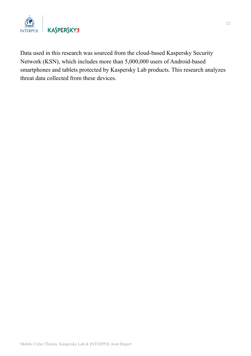

Data used in this research was sourced from the cloud-based Kaspersky Security Network (KSN), which includes more than 5,000,000 users of Android-based smartphones and tablets protected by Kaspersky Lab products. This research analyzes threat data collected from these devices.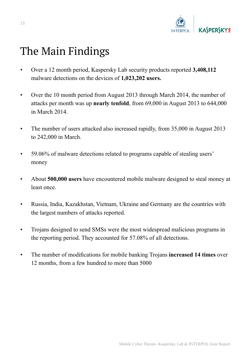

## The Main Findings

- Over a 12 month period, Kaspersky Lab security products reported **3,408,112** malware detections on the devices of **1,023,202 users.**
- Over the 10 month period from August 2013 through March 2014, the number of attacks per month was up **nearly tenfold**, from 69,000 in August 2013 to 644,000 in March 2014.
- The number of users attacked also increased rapidly, from 35,000 in August 2013 to 242,000 in March.
- 59.06% of malware detections related to programs capable of stealing users' money
- About **500,000 users** have encountered mobile malware designed to steal money at least once.
- Russia, India, Kazakhstan, Vietnam, Ukraine and Germany are the countries with the largest numbers of attacks reported.
- Trojans designed to send SMSs were the most widespread malicious programs in the reporting period. They accounted for 57.08% of all detections.
- The number of modifications for mobile banking Trojans **increased 14 times** over 12 months, from a few hundred to more than 5000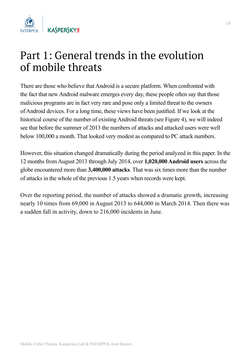

## Part 1: General trends in the evolution of mobile threats

There are those who believe that Android is a secure platform. When confronted with the fact that new Android malware emerges every day, these people often say that those malicious programs are in fact very rare and pose only a limited threat to the owners of Android devices. For a long time, these views have been justified. If we look at the historical course of the number of existing Android threats (see Figure 4), we will indeed see that before the summer of 2013 the numbers of attacks and attacked users were well below 100,000 a month. That looked very modest as compared to PC attack numbers.

However, this situation changed dramatically during the period analyzed in this paper. In the 12 months from August 2013 through July 2014, over **1,020,000 Android users** across the globe encountered more than **3,400,000 attacks**. That was six times more than the number of attacks in the whole of the previous 1.5 years when records were kept.

Over the reporting period, the number of attacks showed a dramatic growth, increasing nearly 10 times from 69,000 in August 2013 to 644,000 in March 2014. Then there was a sudden fall in activity, down to 216,000 incidents in June.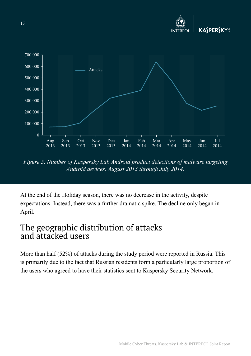

*Figure 5. Number of Kaspersky Lab Android product detections of malware targeting Android devices. August 2013 through July 2014.*

At the end of the Holiday season, there was no decrease in the activity, despite expectations. Instead, there was a further dramatic spike. The decline only began in April.

#### The geographic distribution of attacks and attacked users

More than half (52%) of attacks during the study period were reported in Russia. This is primarily due to the fact that Russian residents form a particularly large proportion of the users who agreed to have their statistics sent to Kaspersky Security Network.

Mobile Cyber Threats. Kaspersky Lab & INTERPOL Joint Report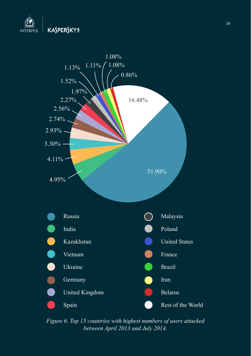



*Figure 6. Top 15 countries with highest numbers of users attacked between April 2013 and July 2014.*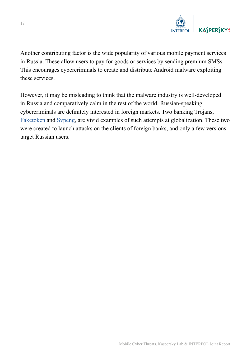

Another contributing factor is the wide popularity of various mobile payment services in Russia. These allow users to pay for goods or services by sending premium SMSs. This encourages cybercriminals to create and distribute Android malware exploiting these services.

However, it may be misleading to think that the malware industry is well-developed in Russia and comparatively calm in the rest of the world. Russian-speaking cybercriminals are definitely interested in foreign markets. Two banking Trojans, Faketoken and Svpeng, are vivid examples of such attempts at globalization. These two were created to launch attacks on the clients of foreign banks, and only a few versions target Russian users.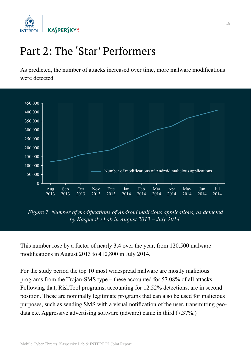

# Part 2: The 'Star' Performers

As predicted, the number of attacks increased over time, more malware modifications were detected.



*Figure 7. Number of modifications of Android malicious applications, as detected by Kaspersky Lab in August 2013 – July 2014.*

This number rose by a factor of nearly 3.4 over the year, from 120,500 malware modifications in August 2013 to 410,800 in July 2014.

For the study period the top 10 most widespread malware are mostly malicious programs from the Trojan-SMS type – these accounted for 57.08% of all attacks. Following that, RiskTool programs, accounting for 12.52% detections, are in second position. These are nominally legitimate programs that can also be used for malicious purposes, such as sending SMS with a visual notification of the user, transmitting geodata etc. Aggressive advertising software (adware) came in third (7.37%.)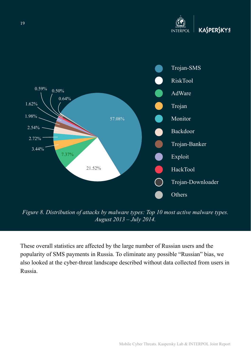



*Figure 8. Distribution of attacks by malware types: Top 10 most active malware types. August 2013 – July 2014.*

These overall statistics are affected by the large number of Russian users and the popularity of SMS payments in Russia. To eliminate any possible "Russian" bias, we also looked at the cyber-threat landscape described without data collected from users in Russia.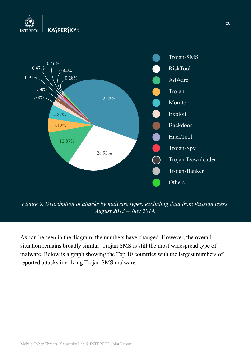



*Figure 9. Distribution of attacks by malware types, excluding data from Russian users. August 2013 – July 2014.*

As can be seen in the diagram, the numbers have changed. However, the overall situation remains broadly similar: Trojan SMS is still the most widespread type of malware. Below is a graph showing the Top 10 countries with the largest numbers of reported attacks involving Trojan SMS malware: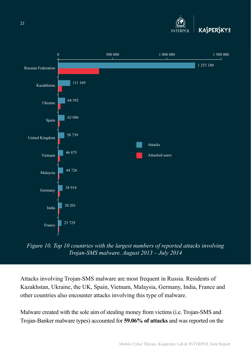



*Figure 10. Top 10 countries with the largest numbers of reported attacks involving Trojan-SMS malware. August 2013 – July 2014*

Attacks involving Trojan-SMS malware are most frequent in Russia. Residents of Kazakhstan, Ukraine, the UK, Spain, Vietnam, Malaysia, Germany, India, France and other countries also encounter attacks involving this type of malware.

Malware created with the sole aim of stealing money from victims (i.e. Trojan-SMS and Trojan-Banker malware types) accounted for **59.06% of attacks** and was reported on the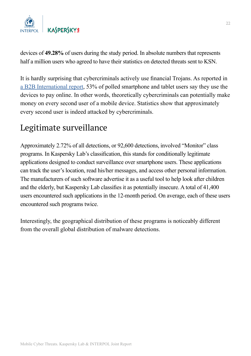

devices of **49.28%** of users during the study period. In absolute numbers that represents half a million users who agreed to have their statistics on detected threats sent to KSN.

It is hardly surprising that cybercriminals actively use financial Trojans. As reported in a B2B International report, 53% of polled smartphone and tablet users say they use the devices to pay online. In other words, theoretically cybercriminals can potentially make money on every second user of a mobile device. Statistics show that approximately every second user is indeed attacked by cybercriminals.

#### Legitimate surveillance

Approximately 2.72% of all detections, or 92,600 detections, involved "Monitor" class programs. In Kaspersky Lab's classification, this stands for conditionally legitimate applications designed to conduct surveillance over smartphone users. These applications can track the user's location, read his/her messages, and access other personal information. The manufacturers of such software advertise it as a useful tool to help look after children and the elderly, but Kaspersky Lab classifies it as potentially insecure. A total of 41,400 users encountered such applications in the 12-month period. On average, each of these users encountered such programs twice.

Interestingly, the geographical distribution of these programs is noticeably different from the overall global distribution of malware detections.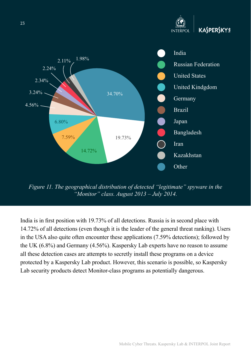

*Figure 11. The geographical distribution of detected "legitimate" spyware in the "Monitor" class. August 2013 – July 2014.*

India is in first position with 19.73% of all detections. Russia is in second place with 14.72% of all detections (even though it is the leader of the general threat ranking). Users in the USA also quite often encounter these applications (7.59% detections); followed by the UK (6.8%) and Germany (4.56%). Kaspersky Lab experts have no reason to assume all these detection cases are attempts to secretly install these programs on a device protected by a Kaspersky Lab product. However, this scenario is possible, so Kaspersky Lab security products detect Monitor-class programs as potentially dangerous.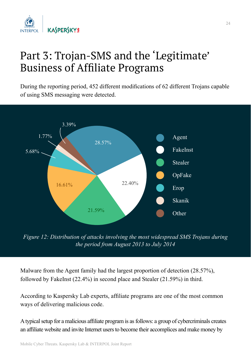

# Part 3: Trojan-SMS and the 'Legitimate' Business of Affiliate Programs

During the reporting period, 452 different modifications of 62 different Trojans capable of using SMS messaging were detected.



*Figure 12: Distribution of attacks involving the most widespread SMS Trojans during the period from August 2013 to July 2014*

Malware from the Agent family had the largest proportion of detection (28.57%), followed by FakeInst (22.4%) in second place and Stealer (21.59%) in third.

According to Kaspersky Lab experts, affiliate programs are one of the most common ways of delivering malicious code.

A typical setup for a malicious affiliate program is as follows: a group of cybercriminals creates an affiliate website and invite Internet users to become their accomplices and make money by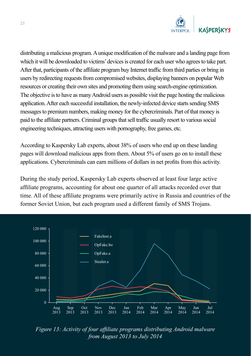

distributing a malicious program. A unique modification of the malware and a landing page from which it will be downloaded to victims' devices is created for each user who agrees to take part. After that, participants of the affiliate program buy Internet traffic from third parties or bring in users by redirecting requests from compromised websites, displaying banners on popular Web resources or creating their own sites and promoting them using search-engine optimization. The objective is to have as many Android users as possible visit the page hosting the malicious application. After each successful installation, the newly-infected device starts sending SMS messages to premium numbers, making money for the cybercriminals. Part of that money is paid to the affiliate partners. Criminal groups that sell traffic usually resort to various social engineering techniques, attracting users with pornography, free games, etc.

According to Kaspersky Lab experts, about 38% of users who end up on these landing pages will download malicious apps from them. About 5% of users go on to install these applications. Cybercriminals can earn millions of dollars in net profits from this activity.

During the study period, Kaspersky Lab experts observed at least four large active affiliate programs, accounting for about one quarter of all attacks recorded over that time. All of these affiliate programs were primarily active in Russia and countries of the former Soviet Union, but each program used a different family of SMS Trojans.



*Figure 13: Activity of four affiliate programs distributing Android malware from August 2013 to July 2014*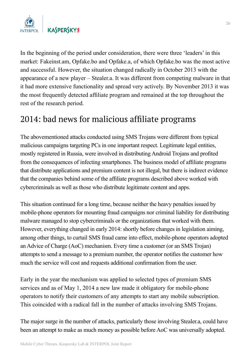

In the beginning of the period under consideration, there were three 'leaders' in this market: Fakeinst.am, Opfake.bo and Opfake.a, of which Opfake.bo was the most active and successful. However, the situation changed radically in October 2013 with the appearance of a new player – Stealer.a. It was different from competing malware in that it had more extensive functionality and spread very actively. By November 2013 it was the most frequently detected affiliate program and remained at the top throughout the rest of the research period.

#### 2014: bad news for malicious affiliate programs

The abovementioned attacks conducted using SMS Trojans were different from typical malicious campaigns targeting PCs in one important respect. Legitimate legal entities, mostly registered in Russia, were involved in distributing Android Trojans and profited from the consequences of infecting smartphones. The business model of affiliate programs that distribute applications and premium content is not illegal, but there is indirect evidence that the companies behind some of the affiliate programs described above worked with cybercriminals as well as those who distribute legitimate content and apps.

This situation continued for a long time, because neither the heavy penalties issued by mobile-phone operators for mounting fraud campaigns nor criminal liability for distributing malware managed to stop cybercriminals or the organizations that worked with them. However, everything changed in early 2014: shortly before changes in legislation aiming, among other things, to curtail SMS fraud came into effect, mobile-phone operators adopted an Advice of Charge (AoC) mechanism. Every time a customer (or an SMS Trojan) attempts to send a message to a premium number, the operator notifies the customer how much the service will cost and requests additional confirmation from the user.

Early in the year the mechanism was applied to selected types of premium SMS services and as of May 1, 2014 a new law made it obligatory for mobile-phone operators to notify their customers of any attempts to start any mobile subscription. This coincided with a radical fall in the number of attacks involving SMS Trojans.

The major surge in the number of attacks, particularly those involving Stealer.a, could have been an attempt to make as much money as possible before AoC was universally adopted.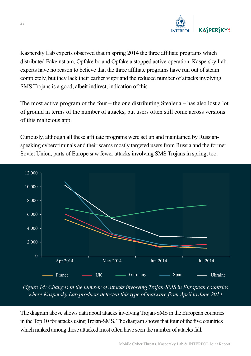

Kaspersky Lab experts observed that in spring 2014 the three affiliate programs which distributed Fakeinst.am, Opfake.bo and Opfake.a stopped active operation. Kaspersky Lab experts have no reason to believe that the three affiliate programs have run out of steam completely, but they lack their earlier vigor and the reduced number of attacks involving SMS Trojans is a good, albeit indirect, indication of this.

The most active program of the four – the one distributing Stealer.  $a$  – has also lost a lot of ground in terms of the number of attacks, but users often still come across versions of this malicious app.

Curiously, although all these affiliate programs were set up and maintained by Russianspeaking cybercriminals and their scams mostly targeted users from Russia and the former Soviet Union, parts of Europe saw fewer attacks involving SMS Trojans in spring, too.



*Figure 14: Changes in the number of attacks involving Trojan-SMS in European countries where Kaspersky Lab products detected this type of malware from April to June 2014*

The diagram above shows data about attacks involving Trojan-SMS in the European countries in the Top 10 for attacks using Trojan-SMS. The diagram shows that four of the five countries which ranked among those attacked most often have seen the number of attacks fall.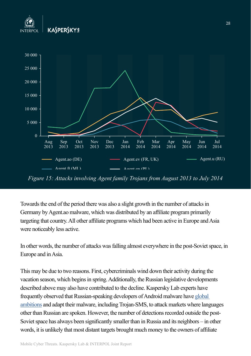



*Figure 15: Attacks involving Agent family Trojans from August 2013 to July 2014*

Towards the end of the period there was also a slight growth in the number of attacks in Germany by Agent.ao malware, which was distributed by an affiliate program primarily targeting that country. All other affiliate programs which had been active in Europe and Asia were noticeably less active.

In other words, the number of attacks was falling almost everywhere in the post-Soviet space, in Europe and in Asia.

This may be due to two reasons. First, cybercriminals wind down their activity during the vacation season, which begins in spring. Additionally, the Russian legislative developments described above may also have contributed to the decline. Kaspersky Lab experts have frequently observed that Russian-speaking developers of Android malware have global ambitions and adapt their malware, including Trojan-SMS, to attack markets where languages other than Russian are spoken. However, the number of detections recorded outside the post-Soviet space has always been significantly smaller than in Russia and its neighbors – in other words, it is unlikely that most distant targets brought much money to the owners of affiliate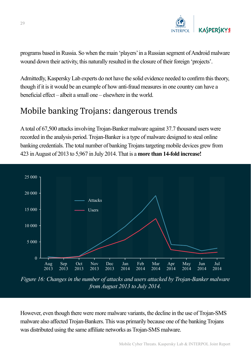

programs based in Russia. So when the main 'players' in a Russian segment of Android malware wound down their activity, this naturally resulted in the closure of their foreign 'projects'.

Admittedly, Kaspersky Lab experts do not have the solid evidence needed to confirm this theory, though if it is it would be an example of how anti-fraud measures in one country can have a beneficial effect – albeit a small one – elsewhere in the world.

#### Mobile banking Trojans: dangerous trends

A total of 67,500 attacks involving Trojan-Banker malware against 37.7 thousand users were recorded in the analysis period. Trojan-Banker is a type of malware designed to steal online banking credentials. The total number of banking Trojans targeting mobile devices grew from 423 in August of 2013 to 5,967 in July 2014. That is a **more than 14-fold increase!**



*Figure 16: Changes in the number of attacks and users attacked by Trojan-Banker malware from August 2013 to July 2014.*

However, even though there were more malware variants, the decline in the use of Trojan-SMS malware also affected Trojan-Bankers. This was primarily because one of the banking Trojans was distributed using the same affiliate networks as Trojan-SMS malware.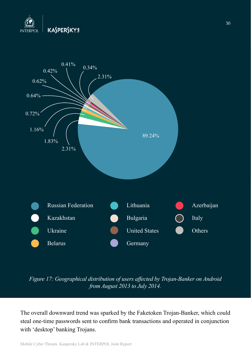



*Figure 17: Geographical distribution of users affected by Trojan-Banker on Android from August 2013 to July 2014.*

The overall downward trend was sparked by the Faketoken Trojan-Banker, which could steal one-time passwords sent to confirm bank transactions and operated in conjunction with 'desktop' banking Trojans.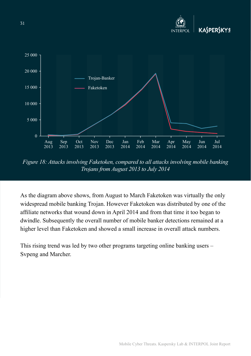

*Figure 18: Attacks involving Faketoken, compared to all attacks involving mobile banking Trojans from August 2013 to July 2014*

As the diagram above shows, from August to March Faketoken was virtually the only widespread mobile banking Trojan. However Faketoken was distributed by one of the affiliate networks that wound down in April 2014 and from that time it too began to dwindle. Subsequently the overall number of mobile banker detections remained at a higher level than Faketoken and showed a small increase in overall attack numbers.

This rising trend was led by two other programs targeting online banking users – Svpeng and Marcher.

Mobile Cyber Threats. Kaspersky Lab & INTERPOL Joint Report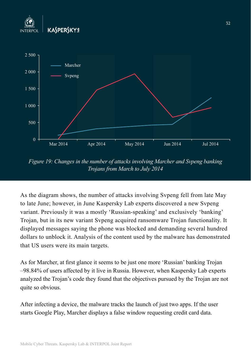



*Figure 19: Changes in the number of attacks involving Marcher and Svpeng banking Trojans from March to July 2014*

As the diagram shows, the number of attacks involving Svpeng fell from late May to late June; however, in June Kaspersky Lab experts discovered a new Svpeng variant. Previously it was a mostly 'Russian-speaking' and exclusively 'banking' Trojan, but in its new variant Svpeng acquired ransomware Trojan functionality. It displayed messages saying the phone was blocked and demanding several hundred dollars to unblock it. Analysis of the content used by the malware has demonstrated that US users were its main targets.

As for Marcher, at first glance it seems to be just one more 'Russian' banking Trojan –98.84% of users affected by it live in Russia. However, when Kaspersky Lab experts analyzed the Trojan's code they found that the objectives pursued by the Trojan are not quite so obvious.

After infecting a device, the malware tracks the launch of just two apps. If the user starts Google Play, Marcher displays a false window requesting credit card data.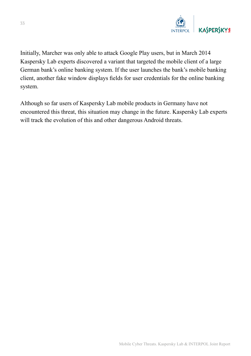

Initially, Marcher was only able to attack Google Play users, but in March 2014 Kaspersky Lab experts discovered a variant that targeted the mobile client of a large German bank's online banking system. If the user launches the bank's mobile banking client, another fake window displays fields for user credentials for the online banking system.

Although so far users of Kaspersky Lab mobile products in Germany have not encountered this threat, this situation may change in the future. Kaspersky Lab experts will track the evolution of this and other dangerous Android threats.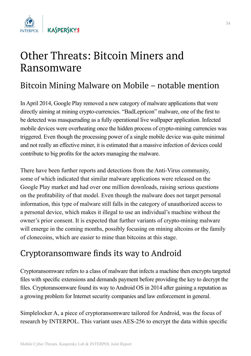

## Other Threats: Bitcoin Miners and Ransomware

#### Bitcoin Mining Malware on Mobile – notable mention

In April 2014, Google Play removed a new category of malware applications that were directly aiming at mining crypto-currencies. "BadLepricon" malware, one of the first to be detected was masquerading as a fully operational live wallpaper application. Infected mobile devices were overheating once the hidden process of crypto-mining currencies was triggered. Even though the processing power of a single mobile device was quite minimal and not really an effective miner, it is estimated that a massive infection of devices could contribute to big profits for the actors managing the malware.

There have been further reports and detections from the Anti-Virus community, some of which indicated that similar malware applications were released on the Google Play market and had over one million downloads, raising serious questions on the profitability of that model. Even though the malware does not target personal information, this type of malware still falls in the category of unauthorized access to a personal device, which makes it illegal to use an individual's machine without the owner's prior consent. It is expected that further variants of crypto-mining malware will emerge in the coming months, possibly focusing on mining alteoins or the family of clonecoins, which are easier to mine than bitcoins at this stage.

#### Cryptoransomware finds its way to Android

Cryptoransomware refers to a class of malware that infects a machine then encrypts targeted files with specific extensions and demands payment before providing the key to decrypt the files. Cryptoransomware found its way to Android OS in 2014 after gaining a reputation as a growing problem for Internet security companies and law enforcement in general.

Simplelocker A, a piece of cryptoransomware tailored for Android, was the focus of research by INTERPOL. This variant uses AES-256 to encrypt the data within specific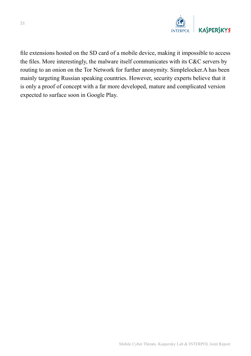

file extensions hosted on the SD card of a mobile device, making it impossible to access the files. More interestingly, the malware itself communicates with its C&C servers by routing to an onion on the Tor Network for further anonymity. Simplelocker.A has been mainly targeting Russian speaking countries. However, security experts believe that it is only a proof of concept with a far more developed, mature and complicated version expected to surface soon in Google Play.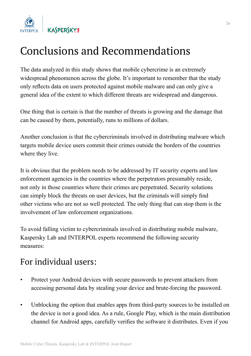

# Conclusions and Recommendations

The data analyzed in this study shows that mobile cybercrime is an extremely widespread phenomenon across the globe. It's important to remember that the study only reflects data on users protected against mobile malware and can only give a general idea of the extent to which different threats are widespread and dangerous.

One thing that is certain is that the number of threats is growing and the damage that can be caused by them, potentially, runs to millions of dollars.

Another conclusion is that the cybercriminals involved in distributing malware which targets mobile device users commit their crimes outside the borders of the countries where they live.

It is obvious that the problem needs to be addressed by IT security experts and law enforcement agencies in the countries where the perpetrators presumably reside, not only in those countries where their crimes are perpetrated. Security solutions can simply block the threats on user devices, but the criminals will simply find other victims who are not so well protected. The only thing that can stop them is the involvement of law enforcement organizations.

To avoid falling victim to cybercriminals involved in distributing mobile malware, Kaspersky Lab and INTERPOL experts recommend the following security measures:

#### For individual users:

- Protect your Android devices with secure passwords to prevent attackers from accessing personal data by stealing your device and brute-forcing the password.
- Unblocking the option that enables apps from third-party sources to be installed on the device is not a good idea. As a rule, Google Play, which is the main distribution channel for Android apps, carefully verifies the software it distributes. Even if you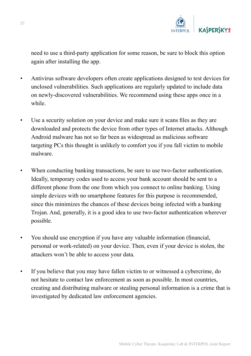

need to use a third-party application for some reason, be sure to block this option again after installing the app.

- Antivirus software developers often create applications designed to test devices for unclosed vulnerabilities. Such applications are regularly updated to include data on newly-discovered vulnerabilities. We recommend using these apps once in a while.
- Use a security solution on your device and make sure it scans files as they are downloaded and protects the device from other types of Internet attacks. Although Android malware has not so far been as widespread as malicious software targeting PCs this thought is unlikely to comfort you if you fall victim to mobile malware.
- When conducting banking transactions, be sure to use two-factor authentication. Ideally, temporary codes used to access your bank account should be sent to a different phone from the one from which you connect to online banking. Using simple devices with no smartphone features for this purpose is recommended, since this minimizes the chances of these devices being infected with a banking Trojan. And, generally, it is a good idea to use two-factor authentication wherever possible.
- You should use encryption if you have any valuable information (financial, personal or work-related) on your device. Then, even if your device is stolen, the attackers won't be able to access your data.
- If you believe that you may have fallen victim to or witnessed a cybercrime, do not hesitate to contact law enforcement as soon as possible. In most countries, creating and distributing malware or stealing personal information is a crime that is investigated by dedicated law enforcement agencies.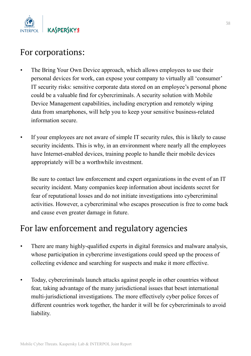

#### For corporations:

- The Bring Your Own Device approach, which allows employees to use their personal devices for work, can expose your company to virtually all 'consumer' IT security risks: sensitive corporate data stored on an employee's personal phone could be a valuable find for cybercriminals. A security solution with Mobile Device Management capabilities, including encryption and remotely wiping data from smartphones, will help you to keep your sensitive business-related information secure.
- If your employees are not aware of simple IT security rules, this is likely to cause security incidents. This is why, in an environment where nearly all the employees have Internet-enabled devices, training people to handle their mobile devices appropriately will be a worthwhile investment.

Be sure to contact law enforcement and expert organizations in the event of an IT security incident. Many companies keep information about incidents secret for fear of reputational losses and do not initiate investigations into cybercriminal activities. However, a cybercriminal who escapes prosecution is free to come back and cause even greater damage in future.

#### For law enforcement and regulatory agencies

- There are many highly-qualified experts in digital forensics and malware analysis, whose participation in cybercrime investigations could speed up the process of collecting evidence and searching for suspects and make it more effective.
- Today, cybercriminals launch attacks against people in other countries without fear, taking advantage of the many jurisdictional issues that beset international multi-jurisdictional investigations. The more effectively cyber police forces of different countries work together, the harder it will be for cybercriminals to avoid liability.